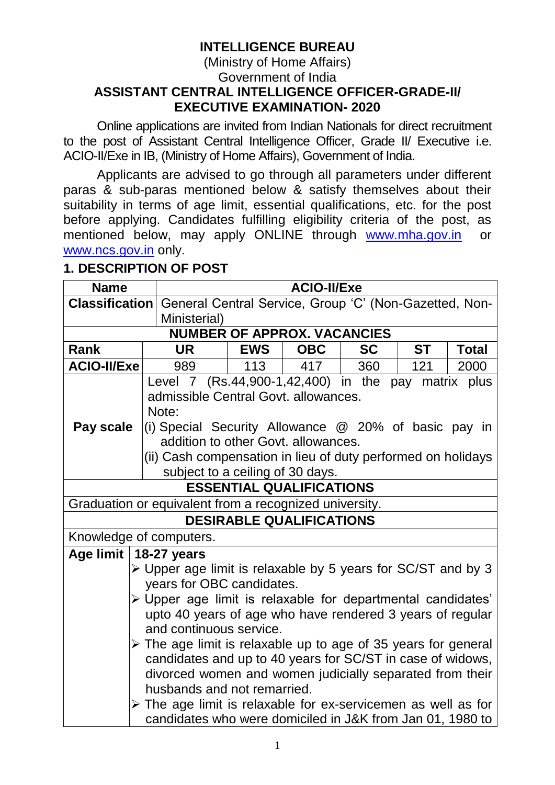# **INTELLIGENCE BUREAU**

### (Ministry of Home Affairs) Government of India **ASSISTANT CENTRAL INTELLIGENCE OFFICER-GRADE-II/ EXECUTIVE EXAMINATION- 2020**

Online applications are invited from Indian Nationals for direct recruitment to the post of Assistant Central Intelligence Officer, Grade II/ Executive i.e. ACIO-II/Exe in IB, (Ministry of Home Affairs), Government of India.

Applicants are advised to go through all parameters under different paras & sub-paras mentioned below & satisfy themselves about their suitability in terms of age limit, essential qualifications, etc. for the post before applying. Candidates fulfilling eligibility criteria of the post, as mentioned below, may apply ONLINE through [www.mha.gov.in](http://www.mha.gov.in/) or [www.ncs.gov.in](http://www.ncs.gov.in/) only.

# **1. DESCRIPTION OF POST**

| <b>Name</b>                                                                   |                                                                                                                        | <b>ACIO-II/Exe</b> |                                    |           |           |              |
|-------------------------------------------------------------------------------|------------------------------------------------------------------------------------------------------------------------|--------------------|------------------------------------|-----------|-----------|--------------|
|                                                                               | <b>Classification</b> General Central Service, Group 'C' (Non-Gazetted, Non-                                           |                    |                                    |           |           |              |
|                                                                               | Ministerial)                                                                                                           |                    |                                    |           |           |              |
|                                                                               |                                                                                                                        |                    | <b>NUMBER OF APPROX. VACANCIES</b> |           |           |              |
| Rank                                                                          | <b>UR</b>                                                                                                              | <b>EWS</b>         | <b>OBC</b>                         | <b>SC</b> | <b>ST</b> | <b>Total</b> |
| <b>ACIO-II/Exe</b>                                                            | 989                                                                                                                    | 113                | 417                                | 360       | 121       | 2000         |
|                                                                               | Level 7 $(Rs.44,900-1,42,400)$ in the pay matrix plus                                                                  |                    |                                    |           |           |              |
|                                                                               | admissible Central Govt. allowances.                                                                                   |                    |                                    |           |           |              |
|                                                                               | Note:                                                                                                                  |                    |                                    |           |           |              |
| Pay scale                                                                     | (i) Special Security Allowance $\omega$ 20% of basic pay in                                                            |                    |                                    |           |           |              |
|                                                                               | addition to other Govt. allowances.                                                                                    |                    |                                    |           |           |              |
|                                                                               | (ii) Cash compensation in lieu of duty performed on holidays                                                           |                    |                                    |           |           |              |
| subject to a ceiling of 30 days.                                              |                                                                                                                        |                    |                                    |           |           |              |
| <b>ESSENTIAL QUALIFICATIONS</b>                                               |                                                                                                                        |                    |                                    |           |           |              |
|                                                                               | Graduation or equivalent from a recognized university.                                                                 |                    |                                    |           |           |              |
| <b>DESIRABLE QUALIFICATIONS</b>                                               |                                                                                                                        |                    |                                    |           |           |              |
|                                                                               | Knowledge of computers.                                                                                                |                    |                                    |           |           |              |
| Age limit   18-27 years                                                       |                                                                                                                        |                    |                                    |           |           |              |
| $\triangleright$ Upper age limit is relaxable by 5 years for SC/ST and by 3   |                                                                                                                        |                    |                                    |           |           |              |
|                                                                               | years for OBC candidates.                                                                                              |                    |                                    |           |           |              |
|                                                                               | > Upper age limit is relaxable for departmental candidates'                                                            |                    |                                    |           |           |              |
|                                                                               | upto 40 years of age who have rendered 3 years of regular                                                              |                    |                                    |           |           |              |
| and continuous service.                                                       |                                                                                                                        |                    |                                    |           |           |              |
| $\triangleright$ The age limit is relaxable up to age of 35 years for general |                                                                                                                        |                    |                                    |           |           |              |
|                                                                               | candidates and up to 40 years for SC/ST in case of widows,<br>divorced women and women judicially separated from their |                    |                                    |           |           |              |
|                                                                               |                                                                                                                        |                    |                                    |           |           |              |
|                                                                               | husbands and not remarried.                                                                                            |                    |                                    |           |           |              |
|                                                                               | $\triangleright$ The age limit is relaxable for ex-servicemen as well as for                                           |                    |                                    |           |           |              |
|                                                                               | candidates who were domiciled in J&K from Jan 01, 1980 to                                                              |                    |                                    |           |           |              |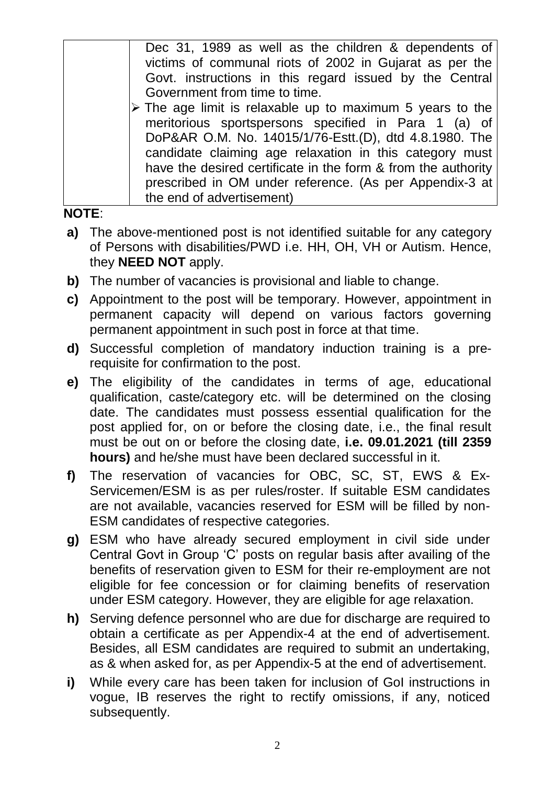| Dec 31, 1989 as well as the children & dependents of                     |
|--------------------------------------------------------------------------|
| victims of communal riots of 2002 in Gujarat as per the                  |
| Govt. instructions in this regard issued by the Central                  |
| Government from time to time.                                            |
| $\triangleright$ The age limit is relaxable up to maximum 5 years to the |
| meritorious sportspersons specified in Para 1 (a) of                     |
| DoP&AR O.M. No. 14015/1/76-Estt.(D), dtd 4.8.1980. The                   |
| candidate claiming age relaxation in this category must                  |
| have the desired certificate in the form & from the authority            |
| prescribed in OM under reference. (As per Appendix-3 at                  |
| the end of advertisement)                                                |

### **NOTE**:

- **a)** The above-mentioned post is not identified suitable for any category of Persons with disabilities/PWD i.e. HH, OH, VH or Autism. Hence, they **NEED NOT** apply.
- **b)** The number of vacancies is provisional and liable to change.
- **c)** Appointment to the post will be temporary. However, appointment in permanent capacity will depend on various factors governing permanent appointment in such post in force at that time.
- **d)** Successful completion of mandatory induction training is a prerequisite for confirmation to the post.
- **e)** The eligibility of the candidates in terms of age, educational qualification, caste/category etc. will be determined on the closing date. The candidates must possess essential qualification for the post applied for, on or before the closing date, i.e., the final result must be out on or before the closing date, **i.e. 09.01.2021 (till 2359 hours)** and he/she must have been declared successful in it.
- **f)** The reservation of vacancies for OBC, SC, ST, EWS & Ex-Servicemen/ESM is as per rules/roster. If suitable ESM candidates are not available, vacancies reserved for ESM will be filled by non-ESM candidates of respective categories.
- **g)** ESM who have already secured employment in civil side under Central Govt in Group 'C' posts on regular basis after availing of the benefits of reservation given to ESM for their re-employment are not eligible for fee concession or for claiming benefits of reservation under ESM category. However, they are eligible for age relaxation.
- **h)** Serving defence personnel who are due for discharge are required to obtain a certificate as per Appendix-4 at the end of advertisement. Besides, all ESM candidates are required to submit an undertaking, as & when asked for, as per Appendix-5 at the end of advertisement.
- **i)** While every care has been taken for inclusion of GoI instructions in vogue, IB reserves the right to rectify omissions, if any, noticed subsequently.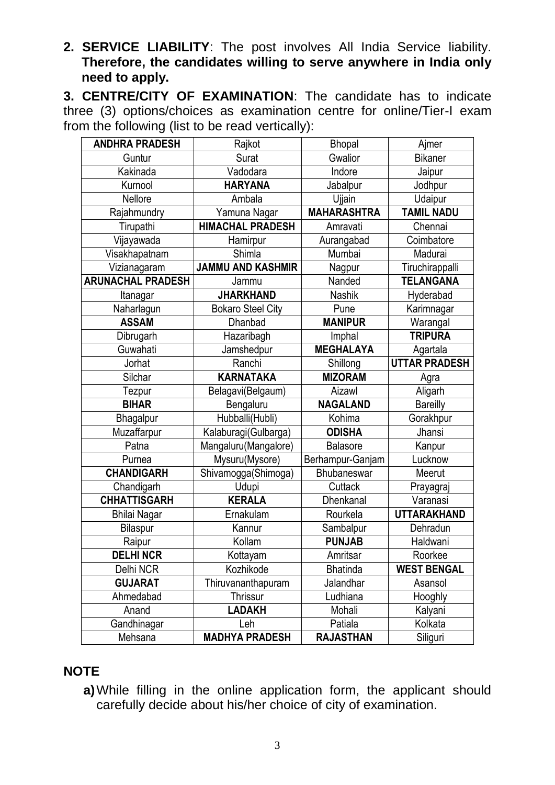**2. SERVICE LIABILITY**: The post involves All India Service liability. **Therefore, the candidates willing to serve anywhere in India only need to apply.**

**3. CENTRE/CITY OF EXAMINATION**: The candidate has to indicate three (3) options/choices as examination centre for online/Tier-I exam from the following (list to be read vertically):

| <b>ANDHRA PRADESH</b><br>Rajkot |                          | <b>Bhopal</b>      | Ajmer                |
|---------------------------------|--------------------------|--------------------|----------------------|
| Guntur                          | Gwalior<br>Surat         |                    | <b>Bikaner</b>       |
| Kakinada                        | Vadodara                 | Indore             | Jaipur               |
| Kurnool                         | <b>HARYANA</b>           | Jabalpur           | Jodhpur              |
| Nellore                         | Ambala                   | Ujjain             | Udaipur              |
| Rajahmundry                     | Yamuna Nagar             | <b>MAHARASHTRA</b> | <b>TAMIL NADU</b>    |
| Tirupathi                       | <b>HIMACHAL PRADESH</b>  | Amravati           | Chennai              |
| Vijayawada                      | Hamirpur                 | Aurangabad         | Coimbatore           |
| Visakhapatnam                   | Shimla                   | Mumbai             | Madurai              |
| Vizianagaram                    | <b>JAMMU AND KASHMIR</b> | Nagpur             | Tiruchirappalli      |
| <b>ARUNACHAL PRADESH</b>        | Jammu                    | Nanded             | <b>TELANGANA</b>     |
| Itanagar                        | <b>JHARKHAND</b>         | Nashik             | Hyderabad            |
| Naharlagun                      | <b>Bokaro Steel City</b> | Pune               | Karimnagar           |
| <b>ASSAM</b>                    | Dhanbad                  | <b>MANIPUR</b>     | Warangal             |
| Dibrugarh                       | Hazaribagh               | Imphal             | <b>TRIPURA</b>       |
| Guwahati                        | Jamshedpur               | <b>MEGHALAYA</b>   | Agartala             |
| Jorhat                          | Ranchi                   | Shillong           | <b>UTTAR PRADESH</b> |
| Silchar                         | <b>KARNATAKA</b>         | <b>MIZORAM</b>     | Agra                 |
| Tezpur                          | Belagavi(Belgaum)        | Aizawl             | Aligarh              |
| <b>BIHAR</b>                    | Bengaluru                | <b>NAGALAND</b>    | <b>Bareilly</b>      |
| Bhagalpur                       | Hubballi(Hubli)          | Kohima             | Gorakhpur            |
| Muzaffarpur                     | Kalaburagi(Gulbarga)     | <b>ODISHA</b>      | Jhansi               |
| Patna                           | Mangaluru(Mangalore)     | <b>Balasore</b>    | Kanpur               |
| Purnea                          | Mysuru(Mysore)           | Berhampur-Ganjam   | Lucknow              |
| <b>CHANDIGARH</b>               | Shivamogga(Shimoga)      | <b>Bhubaneswar</b> | Meerut               |
| Chandigarh                      | <b>Udupi</b>             | Cuttack            | Prayagraj            |
| <b>CHHATTISGARH</b>             | <b>KERALA</b>            | Dhenkanal          | Varanasi             |
| <b>Bhilai Nagar</b>             | Ernakulam                | Rourkela           | <b>UTTARAKHAND</b>   |
| Bilaspur                        | Kannur                   | Sambalpur          | Dehradun             |
| Raipur                          | Kollam                   | <b>PUNJAB</b>      | Haldwani             |
| <b>DELHI NCR</b>                | Kottayam                 | Amritsar           | Roorkee              |
| Delhi NCR                       | Kozhikode                | <b>Bhatinda</b>    | <b>WEST BENGAL</b>   |
| <b>GUJARAT</b>                  | Thiruvananthapuram       | Jalandhar          | Asansol              |
| Ahmedabad                       | <b>Thrissur</b>          | Ludhiana           | Hooghly              |
| Anand                           | <b>LADAKH</b>            | Mohali             | Kalyani              |
| Gandhinagar                     | Leh                      | Patiala            | Kolkata              |
| Mehsana                         | <b>MADHYA PRADESH</b>    | <b>RAJASTHAN</b>   | Siliguri             |

# **NOTE**

**a)**While filling in the online application form, the applicant should carefully decide about his/her choice of city of examination.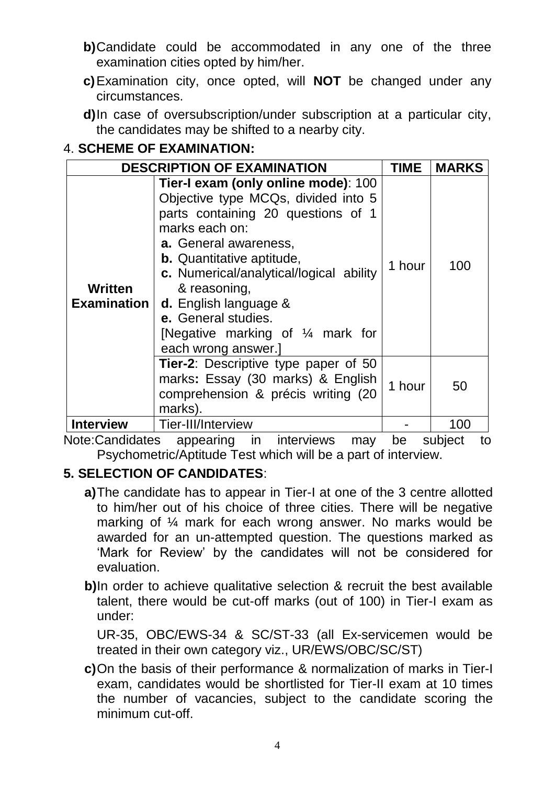- **b)**Candidate could be accommodated in any one of the three examination cities opted by him/her.
- **c)**Examination city, once opted, will **NOT** be changed under any circumstances.
- **d)**In case of oversubscription/under subscription at a particular city, the candidates may be shifted to a nearby city.

# 4. **SCHEME OF EXAMINATION:**

| <b>DESCRIPTION OF EXAMINATION</b> |                                                                                                                                                                                                                                                                                                                                                                                         |        | <b>MARKS</b> |
|-----------------------------------|-----------------------------------------------------------------------------------------------------------------------------------------------------------------------------------------------------------------------------------------------------------------------------------------------------------------------------------------------------------------------------------------|--------|--------------|
| Written<br><b>Examination</b>     | Tier-I exam (only online mode): 100<br>Objective type MCQs, divided into 5<br>parts containing 20 questions of 1<br>marks each on:<br>a. General awareness,<br><b>b.</b> Quantitative aptitude,<br>c. Numerical/analytical/logical ability<br>& reasoning,<br><b>d.</b> English language &<br>e. General studies.<br>[Negative marking of $\frac{1}{4}$ mark for<br>each wrong answer.] | 1 hour | 100          |
|                                   | Tier-2: Descriptive type paper of 50<br>marks: Essay (30 marks) & English<br>comprehension & précis writing (20<br>marks).                                                                                                                                                                                                                                                              | 1 hour | 50           |
| <b>Interview</b>                  | Tier-III/Interview                                                                                                                                                                                                                                                                                                                                                                      |        | 100          |

Note:Candidates appearing in interviews may be subject to Psychometric/Aptitude Test which will be a part of interview.

# **5. SELECTION OF CANDIDATES**:

- **a)**The candidate has to appear in Tier-I at one of the 3 centre allotted to him/her out of his choice of three cities. There will be negative marking of ¼ mark for each wrong answer. No marks would be awarded for an un-attempted question. The questions marked as 'Mark for Review' by the candidates will not be considered for evaluation.
- **b**)In order to achieve qualitative selection & recruit the best available talent, there would be cut-off marks (out of 100) in Tier-I exam as under:

UR-35, OBC/EWS-34 & SC/ST-33 (all Ex-servicemen would be treated in their own category viz., UR/EWS/OBC/SC/ST)

**c)**On the basis of their performance & normalization of marks in Tier-I exam, candidates would be shortlisted for Tier-II exam at 10 times the number of vacancies, subject to the candidate scoring the minimum cut-off.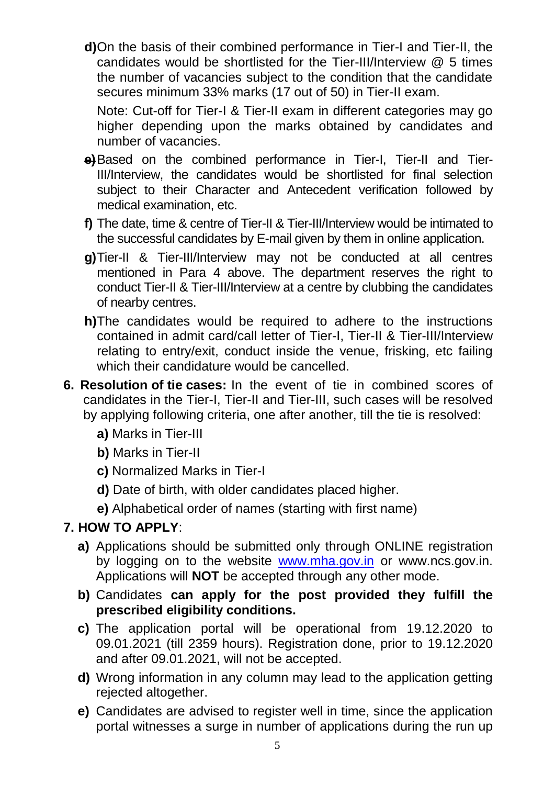**d)**On the basis of their combined performance in Tier-I and Tier-II, the candidates would be shortlisted for the Tier-III/Interview @ 5 times the number of vacancies subject to the condition that the candidate secures minimum 33% marks (17 out of 50) in Tier-II exam.

Note: Cut-off for Tier-I & Tier-II exam in different categories may go higher depending upon the marks obtained by candidates and number of vacancies.

- **e)**Based on the combined performance in Tier-I, Tier-II and Tier-III/Interview, the candidates would be shortlisted for final selection subject to their Character and Antecedent verification followed by medical examination, etc.
- **f)** The date, time & centre of Tier-II & Tier-III/Interview would be intimated to the successful candidates by E-mail given by them in online application.
- **g)**Tier-II & Tier-III/Interview may not be conducted at all centres mentioned in Para 4 above. The department reserves the right to conduct Tier-II & Tier-III/Interview at a centre by clubbing the candidates of nearby centres.
- **h)**The candidates would be required to adhere to the instructions contained in admit card/call letter of Tier-I, Tier-II & Tier-III/Interview relating to entry/exit, conduct inside the venue, frisking, etc failing which their candidature would be cancelled.
- **6. Resolution of tie cases:** In the event of tie in combined scores of candidates in the Tier-I, Tier-II and Tier-III, such cases will be resolved by applying following criteria, one after another, till the tie is resolved:
	- **a)** Marks in Tier-III
	- **b)** Marks in Tier-II
	- **c)** Normalized Marks in Tier-I
	- **d)** Date of birth, with older candidates placed higher.
	- **e)** Alphabetical order of names (starting with first name)

# **7. HOW TO APPLY**:

- **a)** Applications should be submitted only through ONLINE registration by logging on to the website [www.mha.gov.in](http://www.mha.gov.in/) or www.ncs.gov.in. Applications will **NOT** be accepted through any other mode.
- **b)** Candidates **can apply for the post provided they fulfill the prescribed eligibility conditions.**
- **c)** The application portal will be operational from 19.12.2020 to 09.01.2021 (till 2359 hours). Registration done, prior to 19.12.2020 and after 09.01.2021, will not be accepted.
- **d)** Wrong information in any column may lead to the application getting rejected altogether.
- **e)** Candidates are advised to register well in time, since the application portal witnesses a surge in number of applications during the run up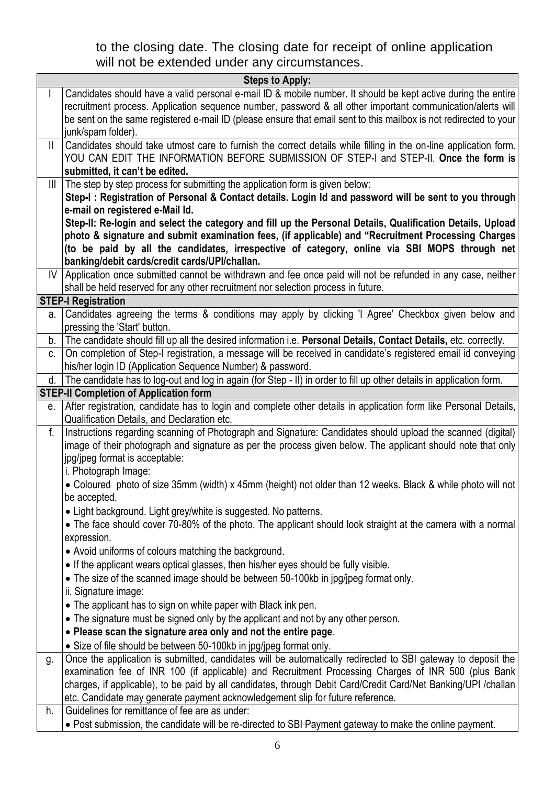to the closing date. The closing date for receipt of online application will not be extended under any circumstances.

|              | <b>Steps to Apply:</b>                                                                                                                                                                                                     |
|--------------|----------------------------------------------------------------------------------------------------------------------------------------------------------------------------------------------------------------------------|
| $\mathbf{I}$ | Candidates should have a valid personal e-mail ID & mobile number. It should be kept active during the entire                                                                                                              |
|              | recruitment process. Application sequence number, password & all other important communication/alerts will                                                                                                                 |
|              | be sent on the same registered e-mail ID (please ensure that email sent to this mailbox is not redirected to your                                                                                                          |
|              | junk/spam folder).                                                                                                                                                                                                         |
| 11           | Candidates should take utmost care to furnish the correct details while filling in the on-line application form.                                                                                                           |
|              | YOU CAN EDIT THE INFORMATION BEFORE SUBMISSION OF STEP-I and STEP-II. Once the form is                                                                                                                                     |
|              | submitted, it can't be edited.                                                                                                                                                                                             |
| $\mathbb{H}$ | The step by step process for submitting the application form is given below:                                                                                                                                               |
|              | Step-I: Registration of Personal & Contact details. Login Id and password will be sent to you through                                                                                                                      |
|              | e-mail on registered e-Mail Id.                                                                                                                                                                                            |
|              | Step-II: Re-login and select the category and fill up the Personal Details, Qualification Details, Upload                                                                                                                  |
|              | photo & signature and submit examination fees, (if applicable) and "Recruitment Processing Charges                                                                                                                         |
|              | (to be paid by all the candidates, irrespective of category, online via SBI MOPS through net                                                                                                                               |
|              | banking/debit cards/credit cards/UPI/challan.                                                                                                                                                                              |
|              | IV Application once submitted cannot be withdrawn and fee once paid will not be refunded in any case, neither                                                                                                              |
|              | shall be held reserved for any other recruitment nor selection process in future.                                                                                                                                          |
|              | <b>STEP-I Registration</b>                                                                                                                                                                                                 |
| а.           | Candidates agreeing the terms & conditions may apply by clicking 'I Agree' Checkbox given below and                                                                                                                        |
|              | pressing the 'Start' button.                                                                                                                                                                                               |
| b.           | The candidate should fill up all the desired information i.e. Personal Details, Contact Details, etc. correctly.                                                                                                           |
| C.           | On completion of Step-I registration, a message will be received in candidate's registered email id conveying                                                                                                              |
|              | his/her login ID (Application Sequence Number) & password.                                                                                                                                                                 |
| d.           | The candidate has to log-out and log in again (for Step - II) in order to fill up other details in application form.                                                                                                       |
|              | <b>STEP-II Completion of Application form</b>                                                                                                                                                                              |
| е.           | After registration, candidate has to login and complete other details in application form like Personal Details,                                                                                                           |
| f.           | Qualification Details, and Declaration etc.                                                                                                                                                                                |
|              | Instructions regarding scanning of Photograph and Signature: Candidates should upload the scanned (digital)<br>image of their photograph and signature as per the process given below. The applicant should note that only |
|              | jpg/jpeg format is acceptable:                                                                                                                                                                                             |
|              | i. Photograph Image:                                                                                                                                                                                                       |
|              | • Coloured photo of size 35mm (width) x 45mm (height) not older than 12 weeks. Black & while photo will not                                                                                                                |
|              | be accepted.                                                                                                                                                                                                               |
|              | • Light background. Light grey/white is suggested. No patterns.                                                                                                                                                            |
|              | • The face should cover 70-80% of the photo. The applicant should look straight at the camera with a normal                                                                                                                |
|              | expression.                                                                                                                                                                                                                |
|              | • Avoid uniforms of colours matching the background.                                                                                                                                                                       |
|              |                                                                                                                                                                                                                            |
|              |                                                                                                                                                                                                                            |
|              | • If the applicant wears optical glasses, then his/her eyes should be fully visible.                                                                                                                                       |
|              | • The size of the scanned image should be between 50-100kb in jpg/jpeg format only.                                                                                                                                        |
|              | ii. Signature image:                                                                                                                                                                                                       |
|              | • The applicant has to sign on white paper with Black ink pen.                                                                                                                                                             |
|              | • The signature must be signed only by the applicant and not by any other person.                                                                                                                                          |
|              | • Please scan the signature area only and not the entire page.                                                                                                                                                             |
|              | • Size of file should be between 50-100kb in jpg/jpeg format only.                                                                                                                                                         |
| g.           | Once the application is submitted, candidates will be automatically redirected to SBI gateway to deposit the                                                                                                               |
|              | examination fee of INR 100 (if applicable) and Recruitment Processing Charges of INR 500 (plus Bank                                                                                                                        |
|              | charges, if applicable), to be paid by all candidates, through Debit Card/Credit Card/Net Banking/UPI /challan                                                                                                             |
| h.           | etc. Candidate may generate payment acknowledgement slip for future reference.<br>Guidelines for remittance of fee are as under:                                                                                           |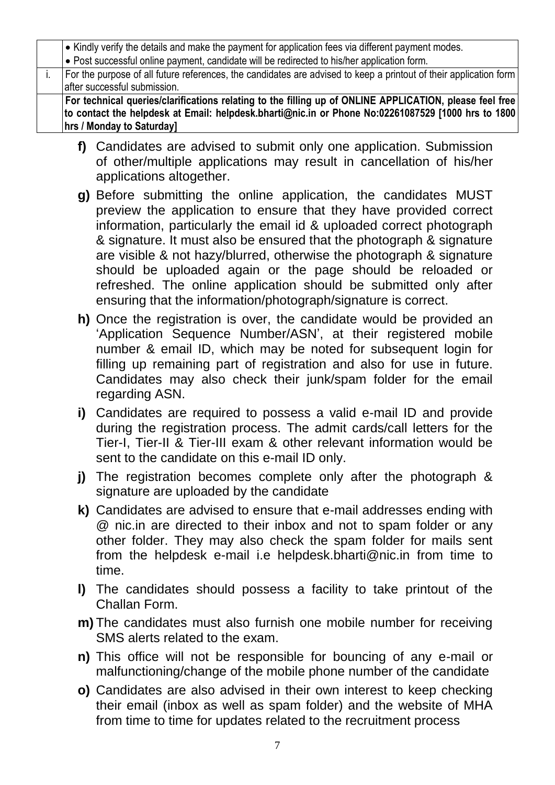|  | • Kindly verify the details and make the payment for application fees via different payment modes.                |
|--|-------------------------------------------------------------------------------------------------------------------|
|  | . Post successful online payment, candidate will be redirected to his/her application form.                       |
|  | For the purpose of all future references, the candidates are advised to keep a printout of their application form |
|  | after successful submission.                                                                                      |
|  | For technical queries/clarifications relating to the filling up of ONLINE APPLICATION, please feel free           |
|  | to contact the helpdesk at Email: helpdesk.bharti@nic.in or Phone No:02261087529 [1000 hrs to 1800]               |
|  | hrs / Monday to Saturday]                                                                                         |

- **f)** Candidates are advised to submit only one application. Submission of other/multiple applications may result in cancellation of his/her applications altogether.
- **g)** Before submitting the online application, the candidates MUST preview the application to ensure that they have provided correct information, particularly the email id & uploaded correct photograph & signature. It must also be ensured that the photograph & signature are visible & not hazy/blurred, otherwise the photograph & signature should be uploaded again or the page should be reloaded or refreshed. The online application should be submitted only after ensuring that the information/photograph/signature is correct.
- **h)** Once the registration is over, the candidate would be provided an 'Application Sequence Number/ASN', at their registered mobile number & email ID, which may be noted for subsequent login for filling up remaining part of registration and also for use in future. Candidates may also check their junk/spam folder for the email regarding ASN.
- **i)** Candidates are required to possess a valid e-mail ID and provide during the registration process. The admit cards/call letters for the Tier-I, Tier-II & Tier-III exam & other relevant information would be sent to the candidate on this e-mail ID only.
- **j)** The registration becomes complete only after the photograph & signature are uploaded by the candidate
- **k)** Candidates are advised to ensure that e-mail addresses ending with @ nic.in are directed to their inbox and not to spam folder or any other folder. They may also check the spam folder for mails sent from the helpdesk e-mail i.e [helpdesk.bharti@nic.in](mailto:helpdesk.bharti@nic.in) from time to time.
- **l)** The candidates should possess a facility to take printout of the Challan Form.
- **m)** The candidates must also furnish one mobile number for receiving SMS alerts related to the exam.
- **n)** This office will not be responsible for bouncing of any e-mail or malfunctioning/change of the mobile phone number of the candidate
- **o)** Candidates are also advised in their own interest to keep checking their email (inbox as well as spam folder) and the website of MHA from time to time for updates related to the recruitment process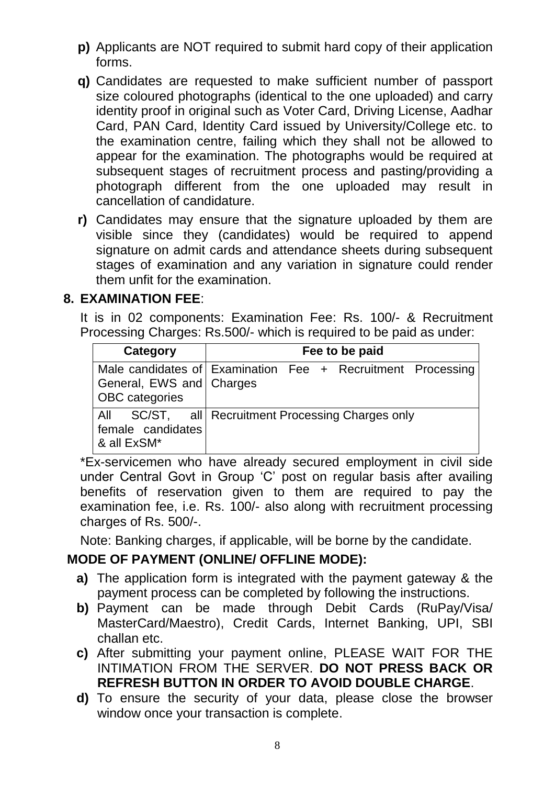- **p)** Applicants are NOT required to submit hard copy of their application forms.
- **q)** Candidates are requested to make sufficient number of passport size coloured photographs (identical to the one uploaded) and carry identity proof in original such as Voter Card, Driving License, Aadhar Card, PAN Card, Identity Card issued by University/College etc. to the examination centre, failing which they shall not be allowed to appear for the examination. The photographs would be required at subsequent stages of recruitment process and pasting/providing a photograph different from the one uploaded may result in cancellation of candidature.
- **r)** Candidates may ensure that the signature uploaded by them are visible since they (candidates) would be required to append signature on admit cards and attendance sheets during subsequent stages of examination and any variation in signature could render them unfit for the examination.

# **8. EXAMINATION FEE**:

It is in 02 components: Examination Fee: Rs. 100/- & Recruitment Processing Charges: Rs.500/- which is required to be paid as under:

| Category                                          | Fee to be paid                                              |  |  |  |
|---------------------------------------------------|-------------------------------------------------------------|--|--|--|
| General, EWS and Charges<br><b>OBC</b> categories | Male candidates of Examination Fee + Recruitment Processing |  |  |  |
| female candidates<br>& all ExSM*                  | All SC/ST, all Recruitment Processing Charges only          |  |  |  |

\*Ex-servicemen who have already secured employment in civil side under Central Govt in Group 'C' post on regular basis after availing benefits of reservation given to them are required to pay the examination fee, i.e. Rs. 100/- also along with recruitment processing charges of Rs. 500/-.

Note: Banking charges, if applicable, will be borne by the candidate.

# **MODE OF PAYMENT (ONLINE/ OFFLINE MODE):**

- **a)** The application form is integrated with the payment gateway & the payment process can be completed by following the instructions.
- **b)** Payment can be made through Debit Cards (RuPay/Visa/ MasterCard/Maestro), Credit Cards, Internet Banking, UPI, SBI challan etc.
- **c)** After submitting your payment online, PLEASE WAIT FOR THE INTIMATION FROM THE SERVER. **DO NOT PRESS BACK OR REFRESH BUTTON IN ORDER TO AVOID DOUBLE CHARGE**.
- **d)** To ensure the security of your data, please close the browser window once your transaction is complete.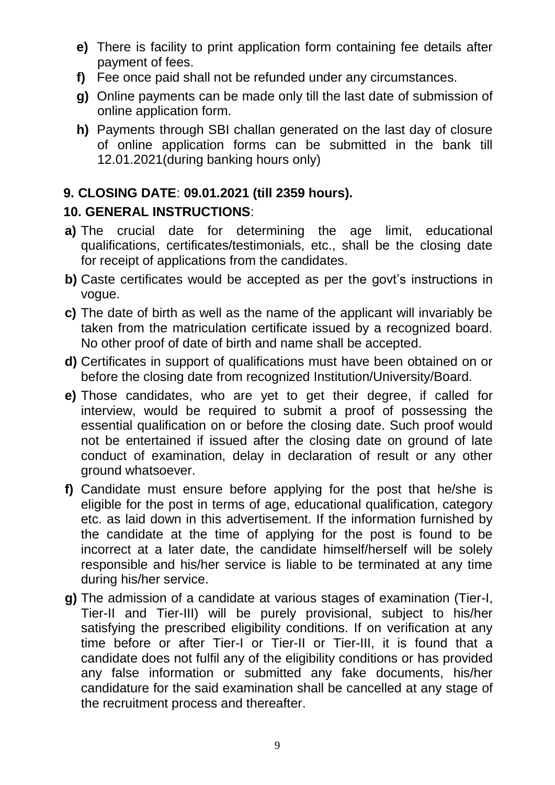- **e)** There is facility to print application form containing fee details after payment of fees.
- **f)** Fee once paid shall not be refunded under any circumstances.
- **g)** Online payments can be made only till the last date of submission of online application form.
- **h)** Payments through SBI challan generated on the last day of closure of online application forms can be submitted in the bank till 12.01.2021(during banking hours only)

# **9. CLOSING DATE**: **09.01.2021 (till 2359 hours).**

# **10. GENERAL INSTRUCTIONS**:

- **a)** The crucial date for determining the age limit, educational qualifications, certificates/testimonials, etc., shall be the closing date for receipt of applications from the candidates.
- **b)** Caste certificates would be accepted as per the govt's instructions in vogue.
- **c)** The date of birth as well as the name of the applicant will invariably be taken from the matriculation certificate issued by a recognized board. No other proof of date of birth and name shall be accepted.
- **d)** Certificates in support of qualifications must have been obtained on or before the closing date from recognized Institution/University/Board.
- **e)** Those candidates, who are yet to get their degree, if called for interview, would be required to submit a proof of possessing the essential qualification on or before the closing date. Such proof would not be entertained if issued after the closing date on ground of late conduct of examination, delay in declaration of result or any other ground whatsoever.
- **f)** Candidate must ensure before applying for the post that he/she is eligible for the post in terms of age, educational qualification, category etc. as laid down in this advertisement. If the information furnished by the candidate at the time of applying for the post is found to be incorrect at a later date, the candidate himself/herself will be solely responsible and his/her service is liable to be terminated at any time during his/her service.
- **g)** The admission of a candidate at various stages of examination (Tier-I, Tier-II and Tier-III) will be purely provisional, subject to his/her satisfying the prescribed eligibility conditions. If on verification at any time before or after Tier-I or Tier-II or Tier-III, it is found that a candidate does not fulfil any of the eligibility conditions or has provided any false information or submitted any fake documents, his/her candidature for the said examination shall be cancelled at any stage of the recruitment process and thereafter.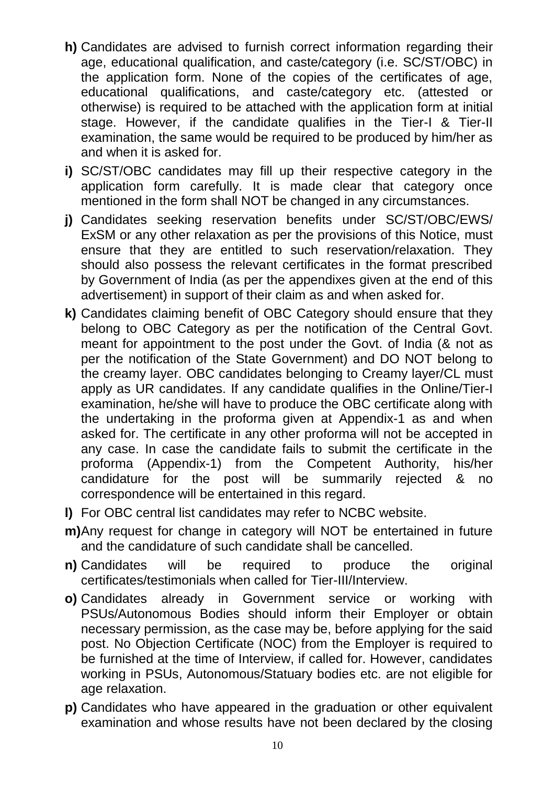- **h)** Candidates are advised to furnish correct information regarding their age, educational qualification, and caste/category (i.e. SC/ST/OBC) in the application form. None of the copies of the certificates of age, educational qualifications, and caste/category etc. (attested or otherwise) is required to be attached with the application form at initial stage. However, if the candidate qualifies in the Tier-I & Tier-II examination, the same would be required to be produced by him/her as and when it is asked for.
- **i)** SC/ST/OBC candidates may fill up their respective category in the application form carefully. It is made clear that category once mentioned in the form shall NOT be changed in any circumstances.
- **j)** Candidates seeking reservation benefits under SC/ST/OBC/EWS/ ExSM or any other relaxation as per the provisions of this Notice, must ensure that they are entitled to such reservation/relaxation. They should also possess the relevant certificates in the format prescribed by Government of India (as per the appendixes given at the end of this advertisement) in support of their claim as and when asked for.
- **k)** Candidates claiming benefit of OBC Category should ensure that they belong to OBC Category as per the notification of the Central Govt. meant for appointment to the post under the Govt. of India (& not as per the notification of the State Government) and DO NOT belong to the creamy layer. OBC candidates belonging to Creamy layer/CL must apply as UR candidates. If any candidate qualifies in the Online/Tier-I examination, he/she will have to produce the OBC certificate along with the undertaking in the proforma given at Appendix-1 as and when asked for. The certificate in any other proforma will not be accepted in any case. In case the candidate fails to submit the certificate in the proforma (Appendix-1) from the Competent Authority, his/her candidature for the post will be summarily rejected & no correspondence will be entertained in this regard.
- **l)** For OBC central list candidates may refer to NCBC website.
- **m)**Any request for change in category will NOT be entertained in future and the candidature of such candidate shall be cancelled.
- **n)** Candidates will be required to produce the original certificates/testimonials when called for Tier-III/Interview.
- **o)** Candidates already in Government service or working with PSUs/Autonomous Bodies should inform their Employer or obtain necessary permission, as the case may be, before applying for the said post. No Objection Certificate (NOC) from the Employer is required to be furnished at the time of Interview, if called for. However, candidates working in PSUs, Autonomous/Statuary bodies etc. are not eligible for age relaxation.
- **p)** Candidates who have appeared in the graduation or other equivalent examination and whose results have not been declared by the closing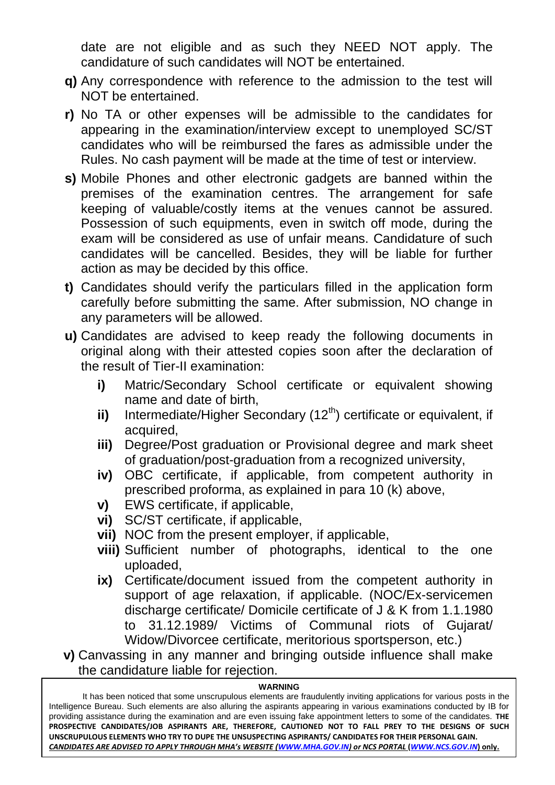date are not eligible and as such they NEED NOT apply. The candidature of such candidates will NOT be entertained.

- **q)** Any correspondence with reference to the admission to the test will NOT be entertained.
- **r)** No TA or other expenses will be admissible to the candidates for appearing in the examination/interview except to unemployed SC/ST candidates who will be reimbursed the fares as admissible under the Rules. No cash payment will be made at the time of test or interview.
- **s)** Mobile Phones and other electronic gadgets are banned within the premises of the examination centres. The arrangement for safe keeping of valuable/costly items at the venues cannot be assured. Possession of such equipments, even in switch off mode, during the exam will be considered as use of unfair means. Candidature of such candidates will be cancelled. Besides, they will be liable for further action as may be decided by this office.
- **t)** Candidates should verify the particulars filled in the application form carefully before submitting the same. After submission, NO change in any parameters will be allowed.
- **u)** Candidates are advised to keep ready the following documents in original along with their attested copies soon after the declaration of the result of Tier-II examination:
	- **i)** Matric/Secondary School certificate or equivalent showing name and date of birth,
	- ii) Intermediate/Higher Secondary (12<sup>th</sup>) certificate or equivalent, if acquired,
	- **iii)** Degree/Post graduation or Provisional degree and mark sheet of graduation/post-graduation from a recognized university,
	- **iv)** OBC certificate, if applicable, from competent authority in prescribed proforma, as explained in para 10 (k) above,
	- **v)** EWS certificate, if applicable,
	- **vi)** SC/ST certificate, if applicable,
	- **vii)** NOC from the present employer, if applicable,
	- **viii)** Sufficient number of photographs, identical to the one uploaded,
	- **ix)** Certificate/document issued from the competent authority in support of age relaxation, if applicable. (NOC/Ex-servicemen discharge certificate/ Domicile certificate of J & K from 1.1.1980 to 31.12.1989/ Victims of Communal riots of Gujarat/ Widow/Divorcee certificate, meritorious sportsperson, etc.)

**v)** Canvassing in any manner and bringing outside influence shall make the candidature liable for rejection.

#### **WARNING**

11 *CANDIDATES ARE ADVISED TO APPLY THROUGH MHA's WEBSITE ([WWW.MHA.GOV.IN\)](http://www.mha.gov.in/) or NCS PORTAL* **(***[WWW.NCS.GOV.IN](http://www.ncs.gov.in/)***) only.**It has been noticed that some unscrupulous elements are fraudulently inviting applications for various posts in the Intelligence Bureau. Such elements are also alluring the aspirants appearing in various examinations conducted by IB for providing assistance during the examination and are even issuing fake appointment letters to some of the candidates. **THE PROSPECTIVE CANDIDATES/JOB ASPIRANTS ARE, THEREFORE, CAUTIONED NOT TO FALL PREY TO THE DESIGNS OF SUCH UNSCRUPULOUS ELEMENTS WHO TRY TO DUPE THE UNSUSPECTING ASPIRANTS/ CANDIDATES FOR THEIR PERSONAL GAIN.**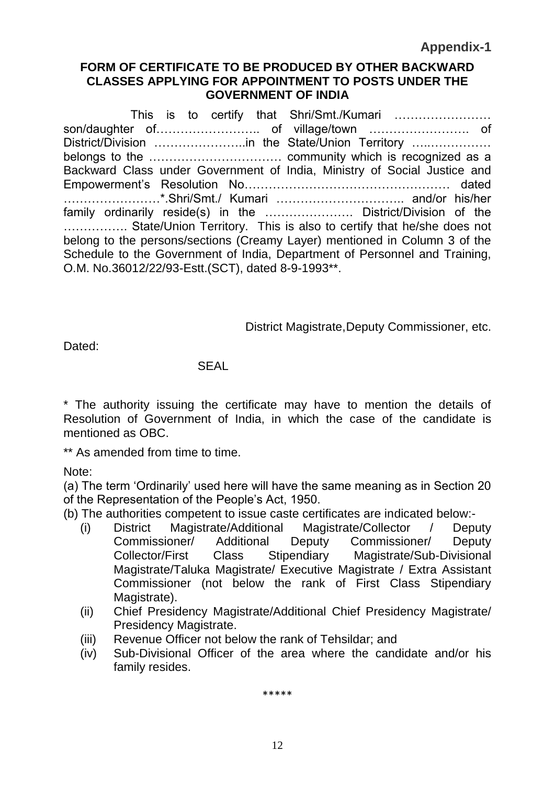**Appendix-1**

### **FORM OF CERTIFICATE TO BE PRODUCED BY OTHER BACKWARD CLASSES APPLYING FOR APPOINTMENT TO POSTS UNDER THE GOVERNMENT OF INDIA**

This is to certify that Shri/Smt./Kumari …………………… son/daughter of…………………….. of village/town ……………………. of District/Division …………………..in the State/Union Territory …..…………… belongs to the …………………………… community which is recognized as a Backward Class under Government of India, Ministry of Social Justice and Empowerment's Resolution No…………………………………………… dated ……………………\*.Shri/Smt./ Kumari ………………………….. and/or his/her family ordinarily reside(s) in the …………………. District/Division of the ……………. State/Union Territory. This is also to certify that he/she does not belong to the persons/sections (Creamy Layer) mentioned in Column 3 of the Schedule to the Government of India, Department of Personnel and Training, O.M. No.36012/22/93-Estt.(SCT), dated 8-9-1993\*\*.

District Magistrate,Deputy Commissioner, etc.

Dated<sup>-</sup>

### **SFAL**

\* The authority issuing the certificate may have to mention the details of Resolution of Government of India, in which the case of the candidate is mentioned as OBC.

\*\* As amended from time to time.

Note:

(a) The term 'Ordinarily' used here will have the same meaning as in Section 20 of the Representation of the People's Act, 1950.

(b) The authorities competent to issue caste certificates are indicated below:-

- (i) District Magistrate/Additional Magistrate/Collector / Deputy Commissioner/ Additional Deputy Commissioner/ Deputy Collector/First Class Stipendiary Magistrate/Sub-Divisional Magistrate/Taluka Magistrate/ Executive Magistrate / Extra Assistant Commissioner (not below the rank of First Class Stipendiary Magistrate).
- (ii) Chief Presidency Magistrate/Additional Chief Presidency Magistrate/ Presidency Magistrate.
- (iii) Revenue Officer not below the rank of Tehsildar; and
- (iv) Sub-Divisional Officer of the area where the candidate and/or his family resides.

\*\*\*\*\*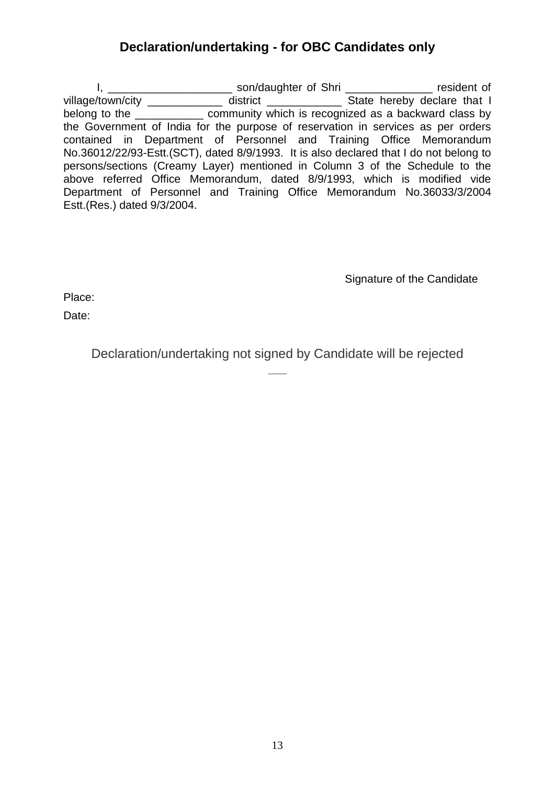# **Declaration/undertaking - for OBC Candidates only**

I, \_\_\_\_\_\_\_\_\_\_\_\_\_\_\_\_\_\_\_\_\_\_\_\_\_ son/daughter of Shri \_\_\_\_\_\_\_\_\_\_\_\_\_\_\_\_\_\_ resident of village/town/city \_\_\_\_\_\_\_\_\_\_\_\_\_\_ district \_\_\_\_\_\_\_\_\_\_\_\_\_\_\_\_ State hereby declare that I belong to the **community** which is recognized as a backward class by the Government of India for the purpose of reservation in services as per orders contained in Department of Personnel and Training Office Memorandum No.36012/22/93-Estt.(SCT), dated 8/9/1993. It is also declared that I do not belong to persons/sections (Creamy Layer) mentioned in Column 3 of the Schedule to the above referred Office Memorandum, dated 8/9/1993, which is modified vide Department of Personnel and Training Office Memorandum No.36033/3/2004 Estt.(Res.) dated 9/3/2004.

Signature of the Candidate

Place:

Date:

Declaration/undertaking not signed by Candidate will be rejected  $\overline{\phantom{a}}$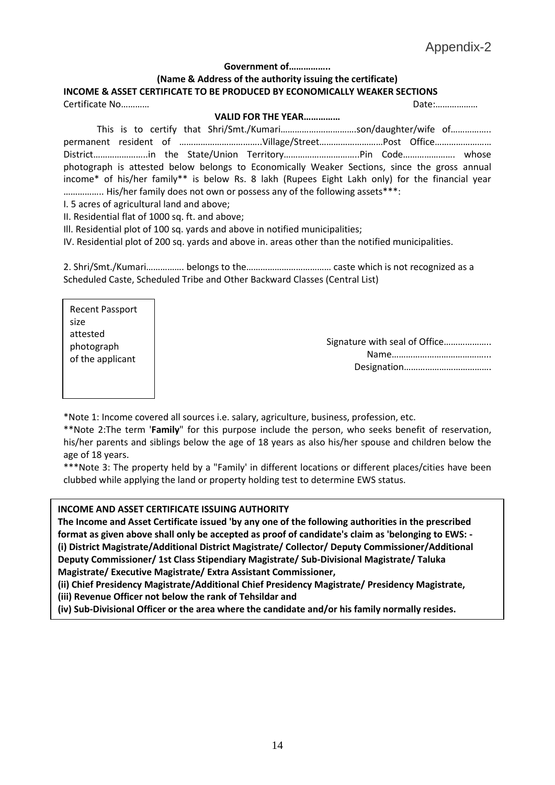#### **Government of……………..**

#### **(Name & Address of the authority issuing the certificate) INCOME & ASSET CERTIFICATE TO BE PRODUCED BY ECONOMICALLY WEAKER SECTIONS**  Certificate No………… Date:………………

#### **VALID FOR THE YEAR……………**

This is to certify that Shri/Smt./Kumari…………….…………….son/daughter/wife of…………….. permanent resident of ……………………………….Village/Street………………………Post Office………………………… District…………………..in the State/Union Territory…………………………..Pin Code…………………. whose photograph is attested below belongs to Economically Weaker Sections, since the gross annual income\* of his/her family\*\* is below Rs. 8 lakh (Rupees Eight Lakh only) for the financial year …………….. His/her family does not own or possess any of the following assets\*\*\*:

I. 5 acres of agricultural land and above;

II. Residential flat of 1000 sq. ft. and above;

Ill. Residential plot of 100 sq. yards and above in notified municipalities;

IV. Residential plot of 200 sq. yards and above in. areas other than the notified municipalities.

2. Shri/Smt./Kumari……………. belongs to the……………………………… caste which is not recognized as a Scheduled Caste, Scheduled Tribe and Other Backward Classes (Central List)

Recent Passport size attested photograph of the applicant

Signature with seal of Office……………….. Name…………………………………... Designation……………………………….

\*Note 1: Income covered all sources i.e. salary, agriculture, business, profession, etc.

\*\*Note 2:The term '**Family**" for this purpose include the person, who seeks benefit of reservation, his/her parents and siblings below the age of 18 years as also his/her spouse and children below the age of 18 years.

\*\*\*Note 3: The property held by a "Family' in different locations or different places/cities have been clubbed while applying the land or property holding test to determine EWS status.

#### **INCOME AND ASSET CERTIFICATE ISSUING AUTHORITY**

**The Income and Asset Certificate issued 'by any one of the following authorities in the prescribed format as given above shall only be accepted as proof of candidate's claim as 'belonging to EWS: - (i) District Magistrate/Additional District Magistrate/ Collector/ Deputy Commissioner/Additional Deputy Commissioner/ 1st Class Stipendiary Magistrate/ Sub-Divisional Magistrate/ Taluka Magistrate/ Executive Magistrate/ Extra Assistant Commissioner,** 

**(ii) Chief Presidency Magistrate/Additional Chief Presidency Magistrate/ Presidency Magistrate,** 

**(iii) Revenue Officer not below the rank of Tehsildar and** 

**(iv) Sub-Divisional Officer or the area where the candidate and/or his family normally resides.**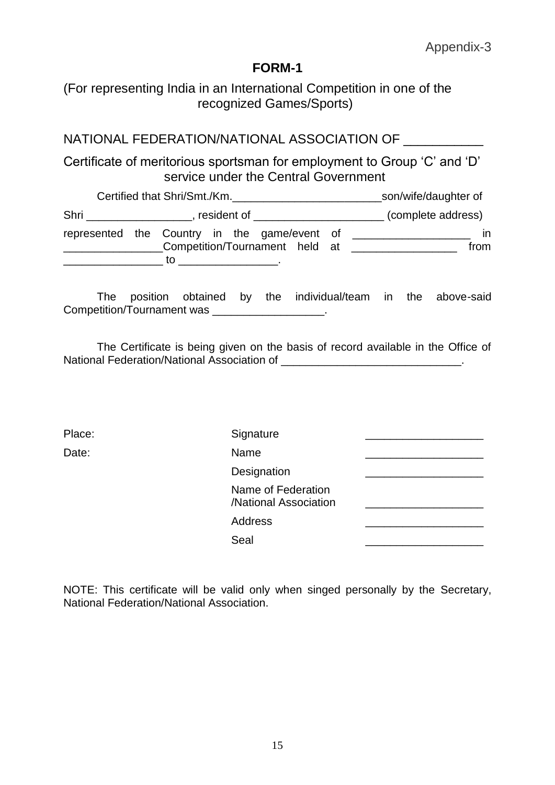(For representing India in an International Competition in one of the recognized Games/Sports)

# NATIONAL FEDERATION/NATIONAL ASSOCIATION OF

Certificate of meritorious sportsman for employment to Group 'C' and 'D' service under the Central Government

| Certified that Shri/Smt./Km.                                                         |  |                                             | son/wife/daughter of |                    |
|--------------------------------------------------------------------------------------|--|---------------------------------------------|----------------------|--------------------|
| Shri                                                                                 |  | $\blacksquare$ , resident of $\blacksquare$ |                      | (complete address) |
| represented the Country in the game/event of<br>Competition/Tournament held at<br>to |  |                                             | $\mathsf{I}$<br>from |                    |

The position obtained by the individual/team in the above-said Competition/Tournament was \_\_\_\_\_\_\_\_\_\_\_\_\_\_\_\_\_\_.

The Certificate is being given on the basis of record available in the Office of National Federation/National Association of \_\_\_\_\_\_\_\_\_\_\_\_\_\_\_\_\_\_\_\_\_\_\_\_\_\_\_\_\_.

| Place: | Signature                                   |  |
|--------|---------------------------------------------|--|
| Date:  | Name                                        |  |
|        | Designation                                 |  |
|        | Name of Federation<br>/National Association |  |
|        | Address                                     |  |
|        | Seal                                        |  |
|        |                                             |  |

NOTE: This certificate will be valid only when singed personally by the Secretary, National Federation/National Association.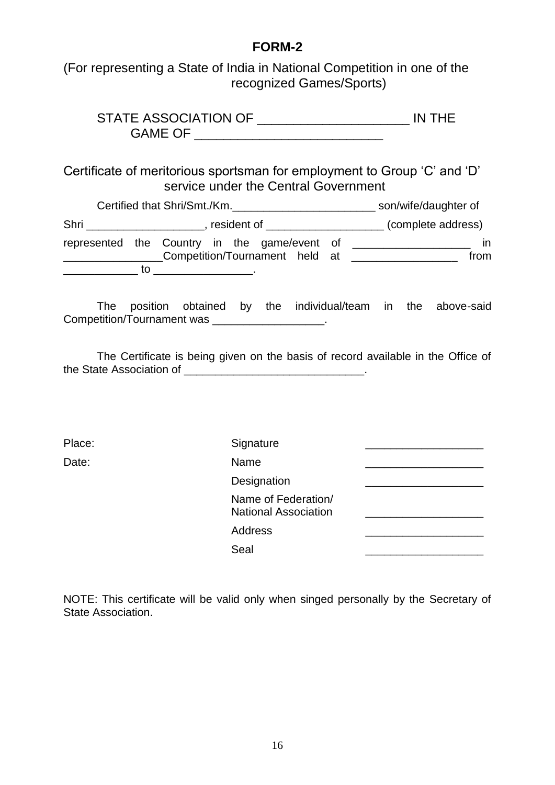(For representing a State of India in National Competition in one of the recognized Games/Sports)

| STATE ASSOCIATION OF |  |
|----------------------|--|
| <b>GAME OF</b>       |  |

Certificate of meritorious sportsman for employment to Group 'C' and 'D' service under the Central Government

| Certified that Shri/Smt./Km. |    |                                                                                                                                                                                                                               | son/wife/daughter of |                    |
|------------------------------|----|-------------------------------------------------------------------------------------------------------------------------------------------------------------------------------------------------------------------------------|----------------------|--------------------|
| Shri                         |    | resident of the control of the control of the control of the control of the control of the control of the control of the control of the control of the control of the control of the control of the control of the control of |                      | (complete address) |
|                              |    | represented the Country in the game/event of<br>Competition/Tournament held at                                                                                                                                                |                      | ın<br>from         |
|                              | tΟ |                                                                                                                                                                                                                               |                      |                    |

The position obtained by the individual/team in the above-said Competition/Tournament was \_\_\_\_\_\_\_\_\_\_\_\_\_\_\_\_\_\_.

The Certificate is being given on the basis of record available in the Office of the State Association of \_\_\_\_\_\_\_\_\_\_\_\_\_\_\_\_\_\_\_\_\_\_\_\_\_\_\_\_\_\_\_\_.

| Place: | Signature                                          |  |
|--------|----------------------------------------------------|--|
| Date:  | Name                                               |  |
|        | Designation                                        |  |
|        | Name of Federation/<br><b>National Association</b> |  |
|        | <b>Address</b>                                     |  |
|        | Seal                                               |  |
|        |                                                    |  |

NOTE: This certificate will be valid only when singed personally by the Secretary of State Association.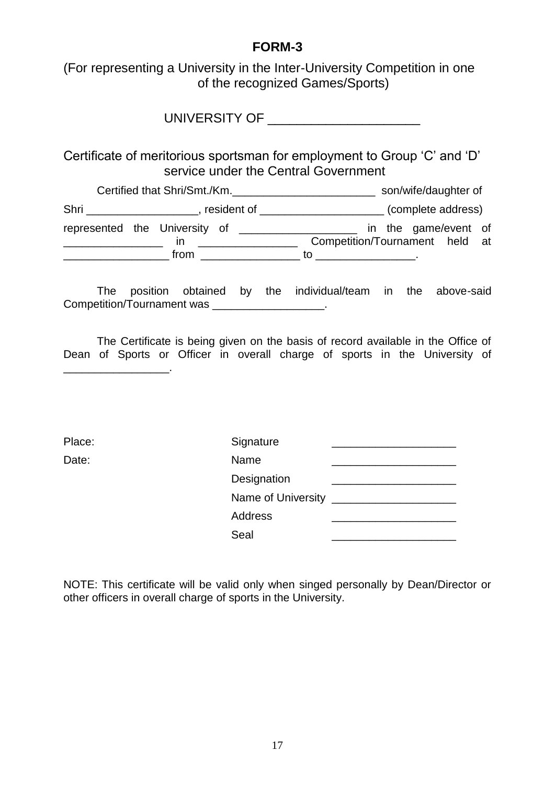(For representing a University in the Inter-University Competition in one of the recognized Games/Sports)

UNIVERSITY OF **EXAMPLE 2008** 

Certificate of meritorious sportsman for employment to Group 'C' and 'D' service under the Central Government

|      | Certified that Shri/Smt./Km.  | son/wife/daughter of                                                              |
|------|-------------------------------|-----------------------------------------------------------------------------------|
| Shri | resident of                   | (complete address)<br><u> 1980 - Jan Samuel Barbara, político e por establece</u> |
|      | represented the University of | in the game/event of                                                              |
|      | ın                            | Competition/Tournament held at                                                    |
|      | from                          | tΟ                                                                                |

The position obtained by the individual/team in the above-said Competition/Tournament was \_\_\_\_\_\_\_\_\_\_\_\_\_\_\_\_\_.

The Certificate is being given on the basis of record available in the Office of Dean of Sports or Officer in overall charge of sports in the University of

| aс |  |
|----|--|
|----|--|

 $\mathcal{L}_\text{max}$  and  $\mathcal{L}_\text{max}$  and  $\mathcal{L}_\text{max}$ 

| Place: | Signature          |  |
|--------|--------------------|--|
| Date:  | Name               |  |
|        | Designation        |  |
|        | Name of University |  |
|        | Address            |  |
|        | Seal               |  |
|        |                    |  |

NOTE: This certificate will be valid only when singed personally by Dean/Director or other officers in overall charge of sports in the University.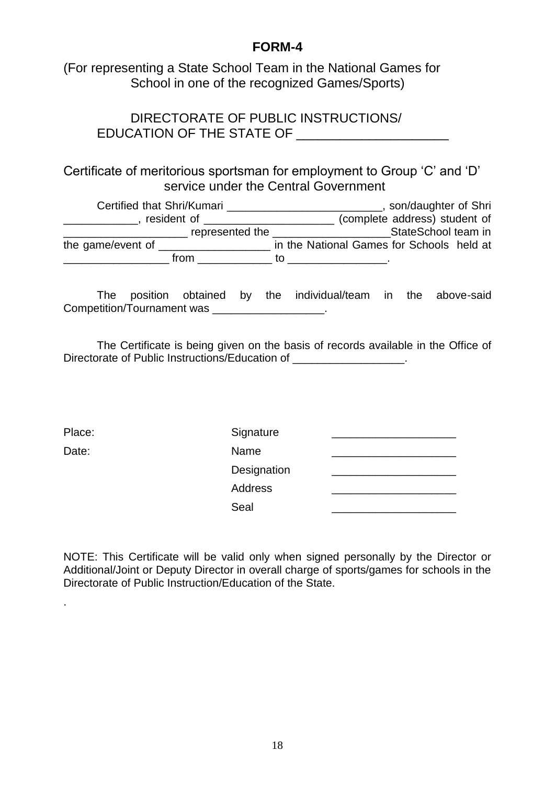(For representing a State School Team in the National Games for School in one of the recognized Games/Sports)

DIRECTORATE OF PUBLIC INSTRUCTIONS/ EDUCATION OF THE STATE OF

# Certificate of meritorious sportsman for employment to Group 'C' and 'D' service under the Central Government

| Certified that Shri/Kumari |                 | son/daughter of Shri                      |  |
|----------------------------|-----------------|-------------------------------------------|--|
| resident of                |                 | (complete address) student of             |  |
|                            | represented the | StateSchool team in                       |  |
| the game/event of          |                 | in the National Games for Schools held at |  |
|                            | from            | īΩ                                        |  |

The position obtained by the individual/team in the above-said Competition/Tournament was **Example 20** and the competition

The Certificate is being given on the basis of records available in the Office of Directorate of Public Instructions/Education of \_\_\_\_\_\_\_\_\_\_\_\_\_\_\_\_\_\_.

.

| Place: | Signature   |  |
|--------|-------------|--|
| Date:  | Name        |  |
|        | Designation |  |
|        | Address     |  |
|        | Seal        |  |

NOTE: This Certificate will be valid only when signed personally by the Director or Additional/Joint or Deputy Director in overall charge of sports/games for schools in the Directorate of Public Instruction/Education of the State.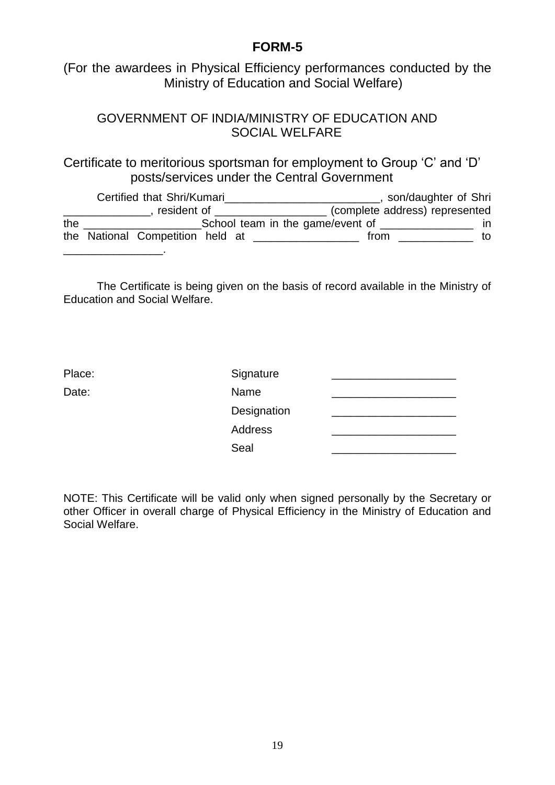(For the awardees in Physical Efficiency performances conducted by the Ministry of Education and Social Welfare)

### GOVERNMENT OF INDIA/MINISTRY OF EDUCATION AND SOCIAL WELFARE

Certificate to meritorious sportsman for employment to Group 'C' and 'D' posts/services under the Central Government

|     | Certified that Shri/Kumari       |  |                                  |      | son/daughter of Shri           |
|-----|----------------------------------|--|----------------------------------|------|--------------------------------|
|     | resident of                      |  |                                  |      | (complete address) represented |
| the |                                  |  | School team in the game/event of |      |                                |
|     | the National Competition held at |  |                                  | from | tΟ                             |
|     |                                  |  |                                  |      |                                |

The Certificate is being given on the basis of record available in the Ministry of Education and Social Welfare.

| Signature   |  |
|-------------|--|
| Name        |  |
| Designation |  |
| Address     |  |
| Seal        |  |
|             |  |

NOTE: This Certificate will be valid only when signed personally by the Secretary or other Officer in overall charge of Physical Efficiency in the Ministry of Education and Social Welfare.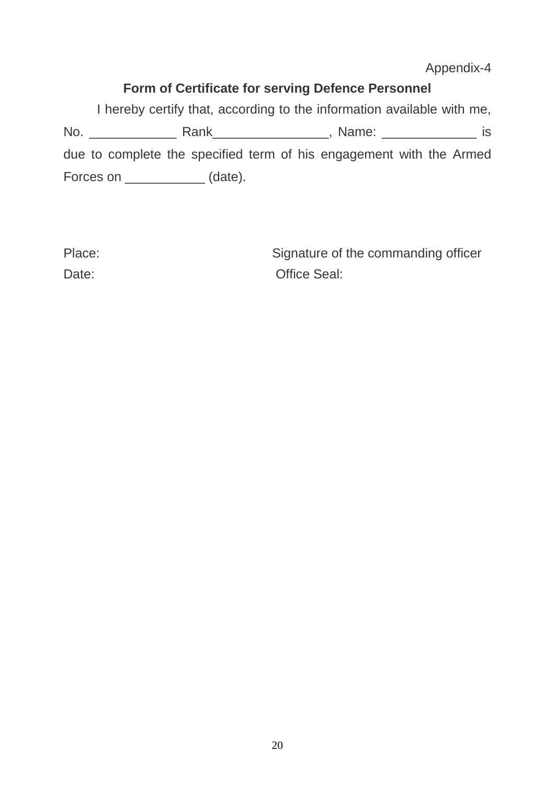Appendix-4

# **Form of Certificate for serving Defence Personnel**

I hereby certify that, according to the information available with me, No. \_\_\_\_\_\_\_\_\_\_\_\_ Rank\_\_\_\_\_\_\_\_\_\_\_\_\_\_\_\_, Name: \_\_\_\_\_\_\_\_\_\_\_\_\_ is due to complete the specified term of his engagement with the Armed Forces on \_\_\_\_\_\_\_\_\_\_\_\_\_\_ (date).

| Place: | Signature of the commanding officer |
|--------|-------------------------------------|
| Date:  | <b>Office Seal:</b>                 |